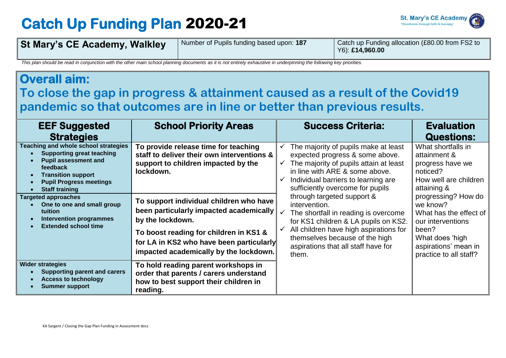## **Catch Up Funding Plan** 2020-21



| <b>St Mary's CE Academy, Walkley</b> | Number of Pupils funding based upon: 187 | Catch up Funding allocation (£80.00 from FS2 to<br>$Y6$ : £14,960.00 |
|--------------------------------------|------------------------------------------|----------------------------------------------------------------------|
|                                      |                                          |                                                                      |

*This plan should be read in conjunction with the other main school planning documents as it is not entirely exhaustive in underpinning the following key priorities.*

## **Overall aim: To close the gap in progress & attainment caused as a result of the Covid19 pandemic so that outcomes are in line or better than previous results. EEF Suggested Strategies**  School Priority Areas **Netwitt Success Criteria: The Success Criteria**: Evaluation **Questions: Teaching and whole school strategies Supporting great teaching Pupil assessment and feedback Transition support Pupil Progress meetings Staff training To provide release time for teaching staff to deliver their own interventions & support to children impacted by the lockdown.**   $\checkmark$  The majority of pupils make at least expected progress & some above.  $\checkmark$  The majority of pupils attain at least in line with ARE & some above.  $\checkmark$  Individual barriers to learning are sufficiently overcome for pupils through targeted support & intervention.  $\checkmark$  The shortfall in reading is overcome for KS1 children & LA pupils on KS2. All children have high aspirations for themselves because of the high aspirations that all staff have for them. What shortfalls in attainment & progress have we noticed? How well are children attaining & progressing? How do we know? What has the effect of our interventions been? What does 'high aspirations' mean in practice to all staff? **Targeted approaches One to one and small group tuition Intervention programmes Extended school time To support individual children who have been particularly impacted academically by the lockdown. To boost reading for children in KS1 & for LA in KS2 who have been particularly impacted academically by the lockdown. Wider strategies Supporting parent and carers Access to technology Summer support To hold reading parent workshops in order that parents / carers understand how to best support their children in reading.**